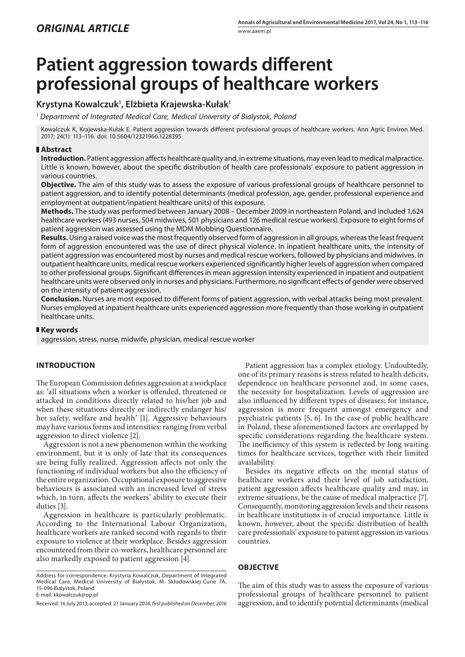# **Patient aggression towards different professional groups of healthcare workers**

# **Krystyna Kowalczuk1 , Elżbieta Krajewska-Kułak1**

<sup>1</sup> *Department of Integrated Medical Care, Medical University of Bialystok, Poland*

Kowalczuk K, Krajewska-Kułak E. Patient aggression towards different professional groups of healthcare workers. Ann Agric Environ Med. 2017; 24(1): 113–116. doi: 10.5604/12321966.1228395

## **Abstract**

**Introduction.** Patient aggression affects healthcare quality and, in extreme situations, may even lead to medical malpractice. Little is known, however, about the specific distribution of health care professionals' exposure to patient aggression in various countries.

**Objective.** The aim of this study was to assess the exposure of various professional groups of healthcare personnel to patient aggression, and to identify potential determinants (medical profession, age, gender, professional experience and employment at outpatient/inpatient healthcare units) of this exposure.

**Methods.** The study was performed between January 2008 – December 2009 in northeastern Poland, and included 1,624 healthcare workers (493 nurses, 504 midwives, 501 physicians and 126 medical rescue workers). Exposure to eight forms of patient aggression was assessed using the MDM Mobbing Questionnaire.

**Results.** Using a raised voice was the most frequently observed form of aggression in all groups, whereas the least frequent form of aggression encountered was the use of direct physical violence. In inpatient healthcare units, the intensity of patient aggression was encountered most by nurses and medical rescue workers, followed by physicians and midwives. In outpatient healthcare units, medical rescue workers experienced significantly higher levels of aggression when compared to other professional groups. Significant differences in mean aggression intensity experienced in inpatient and outpatient healthcare units were observed only in nurses and physicians. Furthermore, no significant effects of gender were observed on the intensity of patient aggression.

**Conclusion.** Nurses are most exposed to different forms of patient aggression, with verbal attacks being most prevalent. Nurses employed at inpatient healthcare units experienced aggression more frequently than those working in outpatient healthcare units.

#### **Key words**

aggression, stress, nurse, midwife, physician, medical rescue worker

# **INTRODUCTION**

The European Commission defines aggression at a workplace as: 'all situations when a worker is offended, threatened or attacked in conditions directly related to his/her job and when these situations directly or indirectly endanger his/ her safety, welfare and health' [1]. Aggressive behaviours may have various forms and intensities: ranging from verbal aggression to direct violence [2].

Aggression is not a new phenomenon within the working environment, but it is only of late that its consequences are being fully realized. Aggression affects not only the functioning of individual workers but also the efficiency of the entire organization. Occupational exposure to aggressive behaviours is associated with an increased level of stress which, in turn, affects the workers' ability to execute their duties [3].

Aggression in healthcare is particularly problematic. According to the International Labour Organization, healthcare workers are ranked second with regards to their exposure to violence at their workplace. Besides aggression encountered from their co-workers, healthcare personnel are also markedly exposed to patient aggression [4].

Patient aggression has a complex etiology. Undoubtedly, one of its primary reasons is stress related to health deficits, dependence on healthcare personnel and, in some cases, the necessity for hospitalization. Levels of aggression are also influenced by different types of diseases; for instance, aggression is more frequent amongst emergency and psychiatric patients [5, 6]. In the case of public healthcare in Poland, these aforementioned factors are overlapped by specific considerations regarding the healthcare system. The inefficiency of this system is reflected by long waiting times for healthcare services, together with their limited availability.

Besides its negative effects on the mental status of healthcare workers and their level of job satisfaction, patient aggression affects healthcare quality and may, in extreme situations, be the cause of medical malpractice [7]. Consequently, monitoring aggression levels and their reasons in healthcare institutions is of crucial importance. Little is known, however, about the specific distribution of health care professionals' exposure to patient aggression in various countries.

# **OBJECTIVE**

The aim of this study was to assess the exposure of various professional groups of healthcare personnel to patient aggression, and to identify potential determinants (medical

Address for correspondence: Krystyna Kowalczuk, Department of Integrated Medical Care, Medical University of Białystok, M. Skłodowskiej-Curie 7A, 15-096 Bialystok, Poland E-mail: kkowalczuk@op.pl

Received: 16 July 2013; accepted: 21 January 2014; *first published on December, 2016*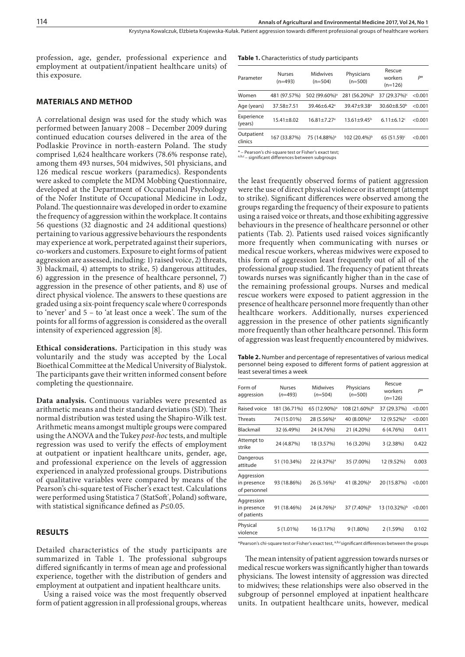profession, age, gender, professional experience and employment at outpatient/inpatient healthcare units) of this exposure.

### **MATERIALS AND METHOD**

A correlational design was used for the study which was performed between January 2008 – December 2009 during continued education courses delivered in the area of the Podlaskie Province in north-eastern Poland. The study comprised 1,624 healthcare workers (78.6% response rate), among them 493 nurses, 504 midwives, 501 physicians, and 126 medical rescue workers (paramedics). Respondents were asked to complete the MDM Mobbing Questionnaire, developed at the Department of Occupational Psychology of the Nofer Institute of Occupational Medicine in Lodz, Poland. The questionnaire was developed in order to examine the frequency of aggression within the workplace. It contains 56 questions (32 diagnostic and 24 additional questions) pertaining to various aggressive behaviours the respondents may experience at work, perpetrated against their superiors, co-workers and customers. Exposure to eight forms of patient aggression are assessed, including: 1) raised voice, 2) threats, 3) blackmail, 4) attempts to strike, 5) dangerous attitudes, 6) aggression in the presence of healthcare personnel, 7) aggression in the presence of other patients, and 8) use of direct physical violence. The answers to these questions are graded using a six-point frequency scale where 0 corresponds to 'never' and 5 – to 'at least once a week'. The sum of the points for all forms of aggression is considered as the overall intensity of experienced aggression [8].

**Ethical considerations.** Participation in this study was voluntarily and the study was accepted by the Local Bioethical Committee at the Medical University of Bialystok. The participants gave their written informed consent before completing the questionnaire.

**Data analysis.** Continuous variables were presented as arithmetic means and their standard deviations (SD). Their normal distribution was tested using the Shapiro-Wilk test. Arithmetic means amongst multiple groups were compared using the ANOVA and the Tukey *post-hoc* tests, and multiple regression was used to verify the effects of employment at outpatient or inpatient healthcare units, gender, age, and professional experience on the levels of aggression experienced in analyzed professional groups. Distributions of qualitative variables were compared by means of the Pearson's chi-square test of Fischer's exact test. Calculations were performed using Statistica 7 (StatSoft<sup>\*</sup>, Poland) software, with statistical significance defined as *P*≤0.05.

#### **RESULTS**

Detailed characteristics of the study participants are summarized in Table 1. The professional subgroups differed significantly in terms of mean age and professional experience, together with the distribution of genders and employment at outpatient and inpatient healthcare units.

Using a raised voice was the most frequently observed form of patient aggression in all professional groups, whereas

#### **Table 1.** Characteristics of study participants

| Parameter             | <b>Nurses</b><br>$(n=493)$ | <b>Midwives</b><br>$(n=504)$ | Physicians<br>$(n=500)$   | Rescue<br>workers<br>$(n=126)$ | p*      |
|-----------------------|----------------------------|------------------------------|---------------------------|--------------------------------|---------|
| Women                 | 481 (97.57%)               | 502 (99.60%) <sup>a</sup>    | 281 (56.20%) <sup>b</sup> | 37 (29.37%) <sup>c</sup>       | < 0.001 |
| Age (years)           | $37.58 + 7.51$             | $39.46 + 6.42$ <sup>a</sup>  | 39.47+9.38 <sup>a</sup>   | $30.60 + 8.50^{\circ}$         | < 0.001 |
| Experience<br>(years) | $15.41 + 8.02$             | $16.81 + 7.27$ <sup>a</sup>  | $13.61 + 9.45^{\circ}$    | $6.11 + 6.12$                  | < 0.001 |
| Outpatient<br>clinics | 167 (33.87%)               | 75 (14.88%) <sup>a</sup>     | 102 (20.4%) <sup>b</sup>  | 65 $(51.59)^c$                 | < 0.001 |
|                       |                            |                              |                           |                                |         |

- Pearson's chi-square test or Fisher's exact test; a, b,c a,b,c,c – significant differences between subgroups

the least frequently observed forms of patient aggression were the use of direct physical violence or its attempt (attempt to strike). Significant differences were observed among the groups regarding the frequency of their exposure to patients using a raised voice or threats, and those exhibiting aggressive behaviours in the presence of healthcare personnel or other patients (Tab. 2). Patients used raised voices significantly more frequently when communicating with nurses or medical rescue workers, whereas midwives were exposed to this form of aggression least frequently out of all of the professional group studied. The frequency of patient threats towards nurses was significantly higher than in the case of the remaining professional groups. Nurses and medical rescue workers were exposed to patient aggression in the presence of healthcare personnel more frequently than other healthcare workers. Additionally, nurses experienced aggression in the presence of other patients significantly more frequently than other healthcare personnel. This form of aggression was least frequently encountered by midwives.

**Table 2.** Number and percentage of representatives of various medical personnel being exposed to different forms of patient aggression at least several times a week

| Form of<br>aggression                     | <b>Nurses</b><br>$(n=493)$ | Midwives<br>$(n=504)$    | Physicians<br>$(n=500)$   | Rescue<br>workers<br>$(n=126)$ | $P^*$   |
|-------------------------------------------|----------------------------|--------------------------|---------------------------|--------------------------------|---------|
| Raised voice                              | 181 (36.71%)               | 65 (12.90%) <sup>a</sup> | 108 (21.60%) <sup>b</sup> | 37 (29.37%)                    | < 0.001 |
| <b>Threats</b>                            | 74 (15.01%)                | 28 (5.56%) <sup>a</sup>  | 40 (8.00%) <sup>a</sup>   | 12 (9.52%) <sup>a</sup>        | < 0.001 |
| Blackmail                                 | 32 (6.49%)                 | 24 (4.76%)               | 21 (4.20%)                | 6(4.76%)                       | 0.411   |
| Attempt to<br>strike                      | 24 (4.87%)                 | 18 (3.57%)               | 16 (3.20%)                | 3(2.38%)                       | 0.422   |
| Dangerous<br>attitude                     | 51 (10.34%)                | 22 (4.37%) <sup>a</sup>  | 35 (7.00%)                | 12 (9.52%)                     | 0.003   |
| Aggression<br>in presence<br>of personnel | 93 (18.86%)                | 26 (5.16%) <sup>a</sup>  | 41 (8.20%) <sup>a</sup>   | 20 (15.87%)                    | < 0.001 |
| Aggression<br>in presence<br>of patients  | 91 (18.46%)                | 24 (4.76%) <sup>a</sup>  | 37 (7.40%) <sup>b</sup>   | 13 (10.32%) <sup>b</sup>       | < 0.001 |
| Physical<br>violence                      | 5 (1.01%)                  | 16 (3.17%)               | $9(1.80\%)$               | 2(1.59%)                       | 0.102   |
|                                           |                            |                          |                           |                                |         |

\*Pearson's chi-square test or Fisher's exact test, a,b,csignificant differences between the groups

The mean intensity of patient aggression towards nurses or medical rescue workers was significantly higher than towards physicians. The lowest intensity of aggression was directed to midwives; these relationships were also observed in the subgroup of personnel employed at inpatient healthcare units. In outpatient healthcare units, however, medical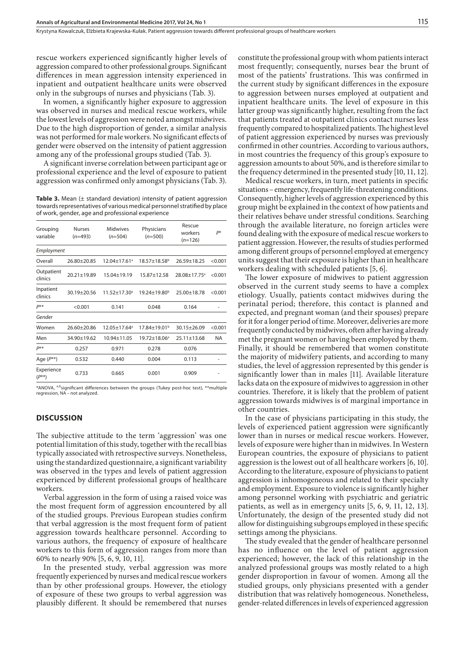rescue workers experienced significantly higher levels of aggression compared to other professional groups. Significant differences in mean aggression intensity experienced in inpatient and outpatient healthcare units were observed only in the subgroups of nurses and physicians (Tab. 3).

In women, a significantly higher exposure to aggression was observed in nurses and medical rescue workers, while the lowest levels of aggression were noted amongst midwives. Due to the high disproportion of gender, a similar analysis was not performed for male workers. No significant effects of gender were observed on the intensity of patient aggression among any of the professional groups studied (Tab. 3).

A significant inverse correlation between participant age or professional experience and the level of exposure to patient aggression was confirmed only amongst physicians (Tab. 3).

Table 3. Mean (± standard deviation) intensity of patient aggression towards representatives of various medical personnel stratified by place of work, gender, age and professional experience

| Grouping<br>variable     | <b>Nurses</b><br>$(n=493)$ | Midwives<br>$(n=504)$        | Physicians<br>$(n=500)$      | Rescue<br>workers<br>$(n=126)$ | р*        |
|--------------------------|----------------------------|------------------------------|------------------------------|--------------------------------|-----------|
| Employment               |                            |                              |                              |                                |           |
| Overall                  | $26.80 + 20.85$            | $12.04 + 17.61$ <sup>a</sup> | $18.57 + 18.58$ <sup>b</sup> | $26.59 + 18.25$                | < 0.001   |
| Outpatient<br>clinics    | $20.21 + 19.89$            | $15.04 + 19.19$              | $15.87 + 12.58$              | 28.08±17.75 <sup>a</sup>       | < 0.001   |
| Inpatient<br>clinics     | $30.19 + 20.56$            | $11.52 + 17.30$ <sup>a</sup> | $19.24 + 19.80$ <sup>b</sup> | $25.00 + 18.78$                | < 0.001   |
| $P^{**}$                 | < 0.001                    | 0.141                        | 0.048                        | 0.164                          |           |
| Gender                   |                            |                              |                              |                                |           |
| Women                    | 26.60±20.86                | 12.05±17.64 <sup>a</sup>     | $17.84 + 19.01b$             | 30.15±26.09                    | < 0.001   |
| Men                      | 34.90±19.62                | $10.94 + 11.05$              | 19.72+18.06 <sup>a</sup>     | $25.11 + 13.68$                | <b>NA</b> |
| $P^{**}$                 | 0.257                      | 0.971                        | 0.278                        | 0.076                          |           |
| Age $(P^{**})$           | 0.532                      | 0.440                        | 0.004                        | 0.113                          |           |
| Experience<br>$(P^{**})$ | 0.733                      | 0.665                        | 0.001                        | 0.909                          |           |

\*ANOVA, a,bsignificant differences between the groups (Tukey post-hoc test), \*\*multiple regression, NA – not analyzed.

#### **DISCUSSION**

The subjective attitude to the term 'aggression' was one potential limitation of this study, together with the recall bias typically associated with retrospective surveys. Nonetheless, using the standardized questionnaire, a significant variability was observed in the types and levels of patient aggression experienced by different professional groups of healthcare workers.

Verbal aggression in the form of using a raised voice was the most frequent form of aggression encountered by all of the studied groups. Previous European studies confirm that verbal aggression is the most frequent form of patient aggression towards healthcare personnel. According to various authors, the frequency of exposure of healthcare workers to this form of aggression ranges from more than 60% to nearly 90% [5, 6, 9, 10, 11].

In the presented study, verbal aggression was more frequently experienced by nurses and medical rescue workers than by other professional groups. However, the etiology of exposure of these two groups to verbal aggression was plausibly different. It should be remembered that nurses

constitute the professional group with whom patients interact most frequently; consequently, nurses bear the brunt of most of the patients' frustrations. This was confirmed in the current study by significant differences in the exposure to aggression between nurses employed at outpatient and inpatient healthcare units. The level of exposure in this latter group was significantly higher, resulting from the fact that patients treated at outpatient clinics contact nurses less frequently compared to hospitalized patients. The highest level of patient aggression experienced by nurses was previously confirmed in other countries. According to various authors, in most countries the frequency of this group's exposure to aggression amounts to about 50%, and is therefore similar to the frequency determined in the presented study [10, 11, 12].

Medical rescue workers, in turn, meet patients in specific situations – emergency, frequently life-threatening conditions. Consequently, higher levels of aggression experienced by this group might be explained in the context of how patients and their relatives behave under stressful conditions. Searching through the available literature, no foreign articles were found dealing with the exposure of medical rescue workers to patient aggression. However, the results of studies performed among different groups of personnel employed at emergency units suggest that their exposure is higher than in healthcare workers dealing with scheduled patients [5, 6].

The lower exposure of midwives to patient aggression observed in the current study seems to have a complex etiology. Usually, patients contact midwives during the perinatal period; therefore, this contact is planned and expected, and pregnant woman (and their spouses) prepare for it for a longer period of time. Moreover, deliveries are more frequently conducted by midwives, often after having already met the pregnant women or having been employed by them. Finally, it should be remembered that women constitute the majority of midwifery patients, and according to many studies, the level of aggression represented by this gender is significantly lower than in males [11]. Available literature lacks data on the exposure of midwives to aggression in other countries. Therefore, it is likely that the problem of patient aggression towards midwives is of marginal importance in other countries.

In the case of physicians participating in this study, the levels of experienced patient aggression were significantly lower than in nurses or medical rescue workers. However, levels of exposure were higher than in midwives. In Western European countries, the exposure of physicians to patient aggression is the lowest out of all healthcare workers [6, 10]. According to the literature, exposure of physicians to patient aggression is inhomogeneous and related to their specialty and employment. Exposure to violence is significantly higher among personnel working with psychiatric and geriatric patients, as well as in emergency units [5, 6, 9, 11, 12, 13]. Unfortunately, the design of the presented study did not allow for distinguishing subgroups employed in these specific settings among the physicians.

The study evealed that the gender of healthcare personnel has no influence on the level of patient aggression experienced; however, the lack of this relationship in the analyzed professional groups was mostly related to a high gender disproportion in favour of women. Among all the studied groups, only physicians presented with a gender distribution that was relatively homogeneous. Nonetheless, gender-related differences in levels of experienced aggression